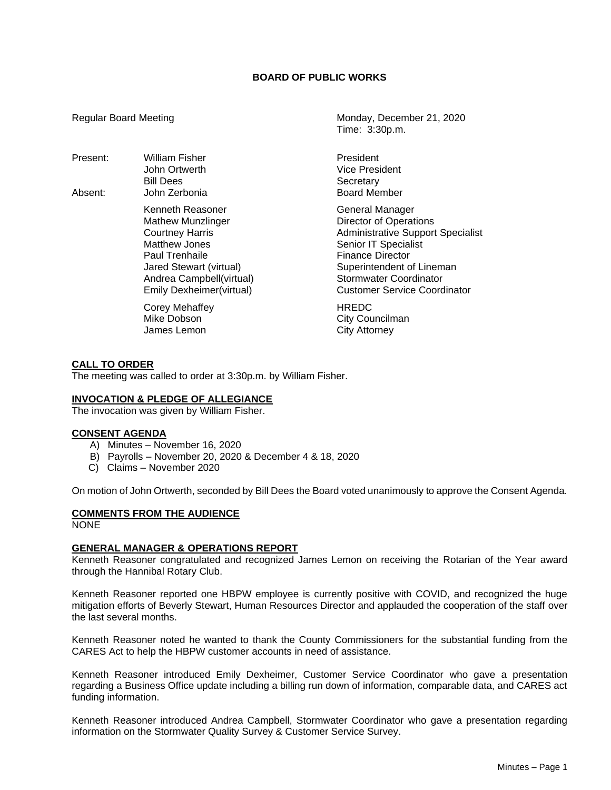# **BOARD OF PUBLIC WORKS**

- Present: William Fisher **President** President Bill Dees Secretary
- Absent: John Zerbonia Board Member Kenneth Reasoner General Manager Paul Trenhaile **Finance Director**

Corey Mehaffey **HREDC** Mike Dobson **City Councilman** James Lemon City Attorney

Regular Board Meeting Monday, December 21, 2020 Time: 3:30p.m.

John Ortwerth Vice President

Mathew Munzlinger **Director of Operations** Courtney Harris **Administrative Support Specialist**<br>
Matthew Jones **Administrative Senior IT Specialist** Senior IT Specialist Jared Stewart (virtual) Superintendent of Lineman Andrea Campbell(virtual) Stormwater Coordinator Emily Dexheimer(virtual) Customer Service Coordinator

#### **CALL TO ORDER**

The meeting was called to order at 3:30p.m. by William Fisher.

### **INVOCATION & PLEDGE OF ALLEGIANCE**

The invocation was given by William Fisher.

#### **CONSENT AGENDA**

- A) Minutes November 16, 2020
- B) Payrolls November 20, 2020 & December 4 & 18, 2020
- C) Claims November 2020

On motion of John Ortwerth, seconded by Bill Dees the Board voted unanimously to approve the Consent Agenda.

# **COMMENTS FROM THE AUDIENCE**

NONE

#### **GENERAL MANAGER & OPERATIONS REPORT**

Kenneth Reasoner congratulated and recognized James Lemon on receiving the Rotarian of the Year award through the Hannibal Rotary Club.

Kenneth Reasoner reported one HBPW employee is currently positive with COVID, and recognized the huge mitigation efforts of Beverly Stewart, Human Resources Director and applauded the cooperation of the staff over the last several months.

Kenneth Reasoner noted he wanted to thank the County Commissioners for the substantial funding from the CARES Act to help the HBPW customer accounts in need of assistance.

Kenneth Reasoner introduced Emily Dexheimer, Customer Service Coordinator who gave a presentation regarding a Business Office update including a billing run down of information, comparable data, and CARES act funding information.

Kenneth Reasoner introduced Andrea Campbell, Stormwater Coordinator who gave a presentation regarding information on the Stormwater Quality Survey & Customer Service Survey.